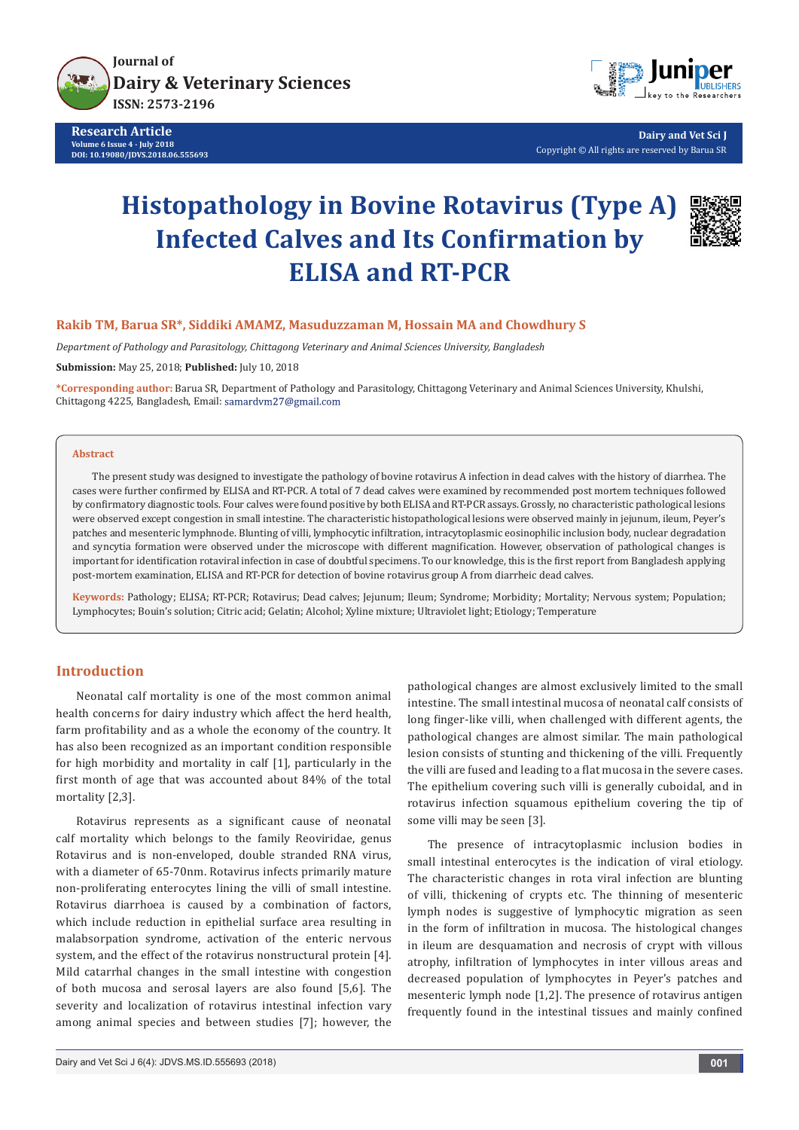

**Research Article Volume 6 Issue 4 - July 2018 DOI: [10.19080/JDVS.2018.06.555693](http://dx.doi.org/10.19080/JDVS.2018.06.555693)**



**Dairy and Vet Sci J** Copyright © All rights are reserved by Barua SR

# **Histopathology in Bovine Rotavirus (Type A) Infected Calves and Its Confirmation by ELISA and RT-PCR**



# **Rakib TM, Barua SR\*, Siddiki AMAMZ, Masuduzzaman M, Hossain MA and Chowdhury S**

*Department of Pathology and Parasitology, Chittagong Veterinary and Animal Sciences University, Bangladesh*

**Submission:** May 25, 2018; **Published:** July 10, 2018

**\*Corresponding author:** Barua SR, Department of Pathology and Parasitology, Chittagong Veterinary and Animal Sciences University, Khulshi, Chittagong 4225, Bangladesh, Email:

#### **Abstract**

The present study was designed to investigate the pathology of bovine rotavirus A infection in dead calves with the history of diarrhea. The cases were further confirmed by ELISA and RT-PCR. A total of 7 dead calves were examined by recommended post mortem techniques followed by confirmatory diagnostic tools. Four calves were found positive by both ELISA and RT-PCR assays. Grossly, no characteristic pathological lesions were observed except congestion in small intestine. The characteristic histopathological lesions were observed mainly in jejunum, ileum, Peyer's patches and mesenteric lymphnode. Blunting of villi, lymphocytic infiltration, intracytoplasmic eosinophilic inclusion body, nuclear degradation and syncytia formation were observed under the microscope with different magnification. However, observation of pathological changes is important for identification rotaviral infection in case of doubtful specimens. To our knowledge, this is the first report from Bangladesh applying post-mortem examination, ELISA and RT-PCR for detection of bovine rotavirus group A from diarrheic dead calves.

**Keywords:** Pathology; ELISA; RT-PCR; Rotavirus; Dead calves; Jejunum; Ileum; Syndrome; Morbidity; Mortality; Nervous system; Population; Lymphocytes; Bouin's solution; Citric acid; Gelatin; Alcohol; Xyline mixture; Ultraviolet light; Etiology; Temperature

# **Introduction**

Neonatal calf mortality is one of the most common animal health concerns for dairy industry which affect the herd health, farm profitability and as a whole the economy of the country. It has also been recognized as an important condition responsible for high morbidity and mortality in calf [1], particularly in the first month of age that was accounted about 84% of the total mortality [2,3].

Rotavirus represents as a significant cause of neonatal calf mortality which belongs to the family Reoviridae, genus Rotavirus and is non-enveloped, double stranded RNA virus, with a diameter of 65-70nm. Rotavirus infects primarily mature non-proliferating enterocytes lining the villi of small intestine. Rotavirus diarrhoea is caused by a combination of factors, which include reduction in epithelial surface area resulting in malabsorpation syndrome, activation of the enteric nervous system, and the effect of the rotavirus nonstructural protein [4]. Mild catarrhal changes in the small intestine with congestion of both mucosa and serosal layers are also found [5,6]. The severity and localization of rotavirus intestinal infection vary among animal species and between studies [7]; however, the

pathological changes are almost exclusively limited to the small intestine. The small intestinal mucosa of neonatal calf consists of long finger-like villi, when challenged with different agents, the pathological changes are almost similar. The main pathological lesion consists of stunting and thickening of the villi. Frequently the villi are fused and leading to a flat mucosa in the severe cases. The epithelium covering such villi is generally cuboidal, and in rotavirus infection squamous epithelium covering the tip of some villi may be seen [3].

The presence of intracytoplasmic inclusion bodies in small intestinal enterocytes is the indication of viral etiology. The characteristic changes in rota viral infection are blunting of villi, thickening of crypts etc. The thinning of mesenteric lymph nodes is suggestive of lymphocytic migration as seen in the form of infiltration in mucosa. The histological changes in ileum are desquamation and necrosis of crypt with villous atrophy, infiltration of lymphocytes in inter villous areas and decreased population of lymphocytes in Peyer's patches and mesenteric lymph node [1,2]. The presence of rotavirus antigen frequently found in the intestinal tissues and mainly confined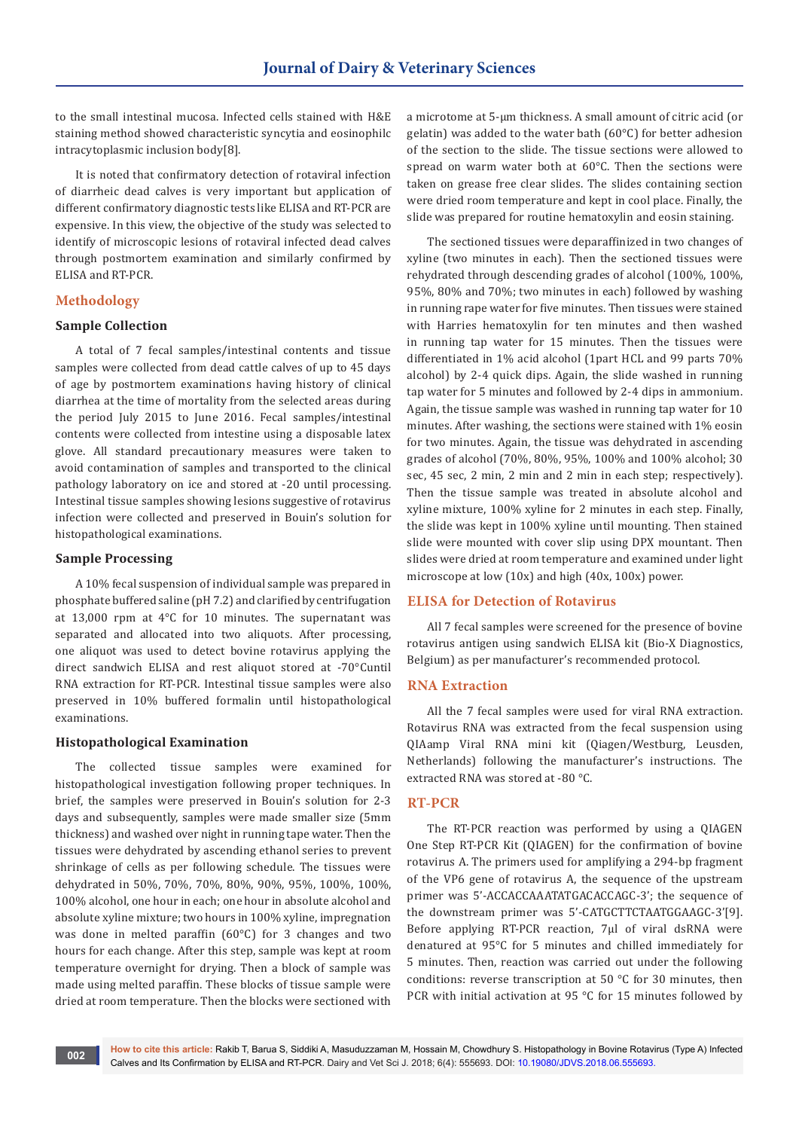to the small intestinal mucosa. Infected cells stained with H&E staining method showed characteristic syncytia and eosinophilc intracytoplasmic inclusion body[8].

It is noted that confirmatory detection of rotaviral infection of diarrheic dead calves is very important but application of different confirmatory diagnostic tests like ELISA and RT-PCR are expensive. In this view, the objective of the study was selected to identify of microscopic lesions of rotaviral infected dead calves through postmortem examination and similarly confirmed by ELISA and RT-PCR.

#### **Methodology**

#### **Sample Collection**

A total of 7 fecal samples/intestinal contents and tissue samples were collected from dead cattle calves of up to 45 days of age by postmortem examinations having history of clinical diarrhea at the time of mortality from the selected areas during the period July 2015 to June 2016. Fecal samples/intestinal contents were collected from intestine using a disposable latex glove. All standard precautionary measures were taken to avoid contamination of samples and transported to the clinical pathology laboratory on ice and stored at -20 until processing. Intestinal tissue samples showing lesions suggestive of rotavirus infection were collected and preserved in Bouin's solution for histopathological examinations.

#### **Sample Processing**

A 10% fecal suspension of individual sample was prepared in phosphate buffered saline (pH 7.2) and clarified by centrifugation at 13,000 rpm at 4°C for 10 minutes. The supernatant was separated and allocated into two aliquots. After processing, one aliquot was used to detect bovine rotavirus applying the direct sandwich ELISA and rest aliquot stored at -70°Cuntil RNA extraction for RT-PCR. Intestinal tissue samples were also preserved in 10% buffered formalin until histopathological examinations.

#### **Histopathological Examination**

The collected tissue samples were examined for histopathological investigation following proper techniques. In brief, the samples were preserved in Bouin's solution for 2-3 days and subsequently, samples were made smaller size (5mm thickness) and washed over night in running tape water. Then the tissues were dehydrated by ascending ethanol series to prevent shrinkage of cells as per following schedule. The tissues were dehydrated in 50%, 70%, 70%, 80%, 90%, 95%, 100%, 100%, 100% alcohol, one hour in each; one hour in absolute alcohol and absolute xyline mixture; two hours in 100% xyline, impregnation was done in melted paraffin (60°C) for 3 changes and two hours for each change. After this step, sample was kept at room temperature overnight for drying. Then a block of sample was made using melted paraffin. These blocks of tissue sample were dried at room temperature. Then the blocks were sectioned with

a microtome at 5-µm thickness. A small amount of citric acid (or gelatin) was added to the water bath (60°C) for better adhesion of the section to the slide. The tissue sections were allowed to spread on warm water both at 60°C. Then the sections were taken on grease free clear slides. The slides containing section were dried room temperature and kept in cool place. Finally, the slide was prepared for routine hematoxylin and eosin staining.

The sectioned tissues were deparaffinized in two changes of xyline (two minutes in each). Then the sectioned tissues were rehydrated through descending grades of alcohol (100%, 100%, 95%, 80% and 70%; two minutes in each) followed by washing in running rape water for five minutes. Then tissues were stained with Harries hematoxylin for ten minutes and then washed in running tap water for 15 minutes. Then the tissues were differentiated in 1% acid alcohol (1part HCL and 99 parts 70% alcohol) by 2-4 quick dips. Again, the slide washed in running tap water for 5 minutes and followed by 2-4 dips in ammonium. Again, the tissue sample was washed in running tap water for 10 minutes. After washing, the sections were stained with 1% eosin for two minutes. Again, the tissue was dehydrated in ascending grades of alcohol (70%, 80%, 95%, 100% and 100% alcohol; 30 sec, 45 sec, 2 min, 2 min and 2 min in each step; respectively). Then the tissue sample was treated in absolute alcohol and xyline mixture, 100% xyline for 2 minutes in each step. Finally, the slide was kept in 100% xyline until mounting. Then stained slide were mounted with cover slip using DPX mountant. Then slides were dried at room temperature and examined under light microscope at low (10x) and high (40x, 100x) power.

#### **ELISA for Detection of Rotavirus**

All 7 fecal samples were screened for the presence of bovine rotavirus antigen using sandwich ELISA kit (Bio-X Diagnostics, Belgium) as per manufacturer's recommended protocol.

#### **RNA Extraction**

All the 7 fecal samples were used for viral RNA extraction. Rotavirus RNA was extracted from the fecal suspension using QIAamp Viral RNA mini kit (Qiagen/Westburg, Leusden, Netherlands) following the manufacturer's instructions. The extracted RNA was stored at -80 °C.

#### **RT-PCR**

The RT-PCR reaction was performed by using a QIAGEN One Step RT-PCR Kit (QIAGEN) for the confirmation of bovine rotavirus A. The primers used for amplifying a 294-bp fragment of the VP6 gene of rotavirus A, the sequence of the upstream primer was 5'-ACCACCAAATATGACACCAGC-3'; the sequence of the downstream primer was 5'-CATGCTTCTAATGGAAGC-3'[9]. Before applying RT-PCR reaction, 7µl of viral dsRNA were denatured at 95°C for 5 minutes and chilled immediately for 5 minutes. Then, reaction was carried out under the following conditions: reverse transcription at 50 °C for 30 minutes, then PCR with initial activation at 95 °C for 15 minutes followed by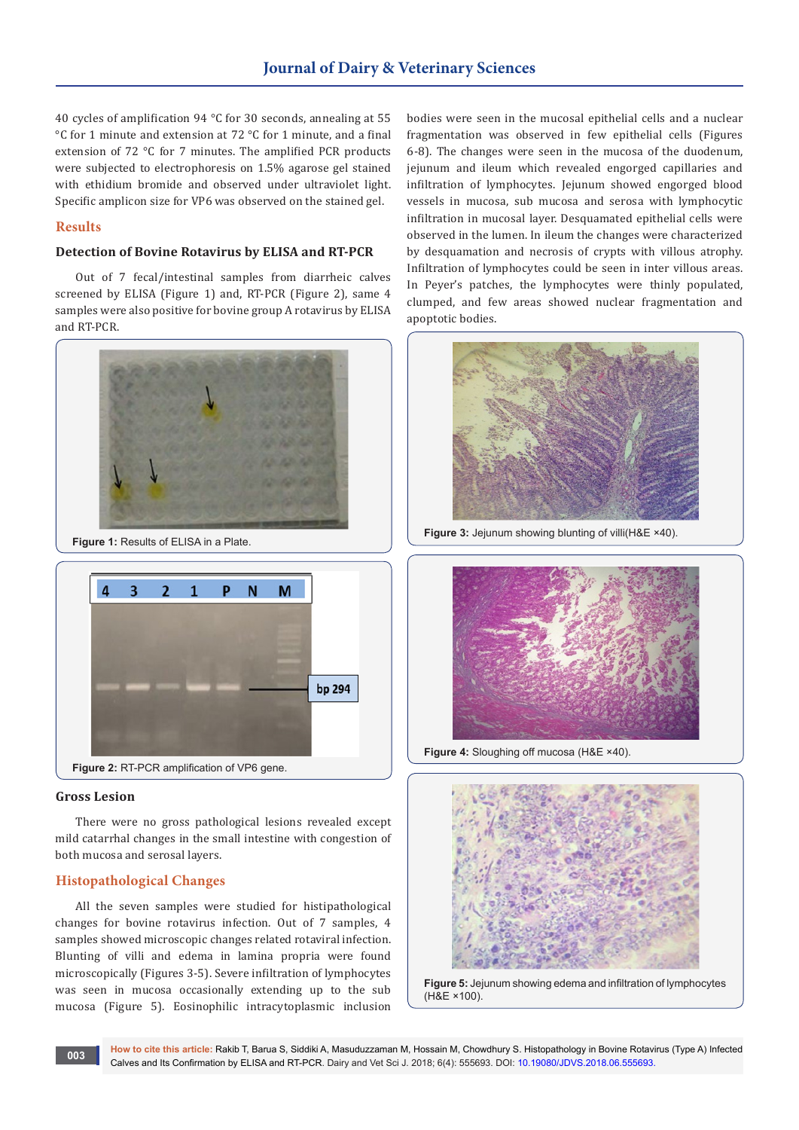40 cycles of amplification 94 °C for 30 seconds, annealing at 55 °C for 1 minute and extension at 72 °C for 1 minute, and a final extension of 72 °C for 7 minutes. The amplified PCR products were subjected to electrophoresis on 1.5% agarose gel stained with ethidium bromide and observed under ultraviolet light. Specific amplicon size for VP6 was observed on the stained gel.

### **Results**

#### **Detection of Bovine Rotavirus by ELISA and RT-PCR**

Out of 7 fecal/intestinal samples from diarrheic calves screened by ELISA (Figure 1) and, RT-PCR (Figure 2), same 4 samples were also positive for bovine group A rotavirus by ELISA and RT-PCR.



**Figure 1:** Results of ELISA in a Plate.



#### **Gross Lesion**

There were no gross pathological lesions revealed except mild catarrhal changes in the small intestine with congestion of both mucosa and serosal layers.

# **Histopathological Changes**

All the seven samples were studied for histipathological changes for bovine rotavirus infection. Out of 7 samples, 4 samples showed microscopic changes related rotaviral infection. Blunting of villi and edema in lamina propria were found microscopically (Figures 3-5). Severe infiltration of lymphocytes was seen in mucosa occasionally extending up to the sub mucosa (Figure 5). Eosinophilic intracytoplasmic inclusion bodies were seen in the mucosal epithelial cells and a nuclear fragmentation was observed in few epithelial cells (Figures 6-8). The changes were seen in the mucosa of the duodenum, jejunum and ileum which revealed engorged capillaries and infiltration of lymphocytes. Jejunum showed engorged blood vessels in mucosa, sub mucosa and serosa with lymphocytic infiltration in mucosal layer. Desquamated epithelial cells were observed in the lumen. In ileum the changes were characterized by desquamation and necrosis of crypts with villous atrophy. Infiltration of lymphocytes could be seen in inter villous areas. In Peyer's patches, the lymphocytes were thinly populated, clumped, and few areas showed nuclear fragmentation and apoptotic bodies.



**Figure 3:** Jejunum showing blunting of villi(H&E ×40).



**Figure 4:** Sloughing off mucosa (H&E ×40).



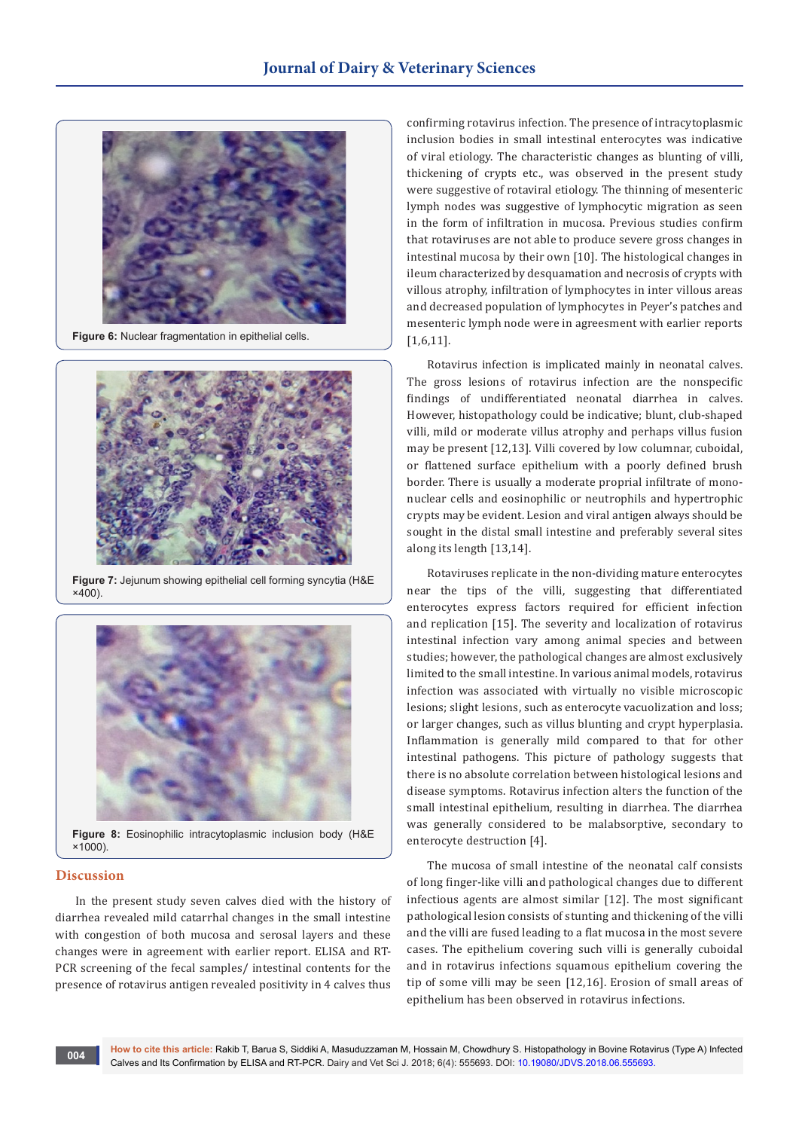

**Figure 6:** Nuclear fragmentation in epithelial cells.



**Figure 7:** Jejunum showing epithelial cell forming syncytia (H&E  $x400$ 



#### **Discussion**

In the present study seven calves died with the history of diarrhea revealed mild catarrhal changes in the small intestine with congestion of both mucosa and serosal layers and these changes were in agreement with earlier report. ELISA and RT-PCR screening of the fecal samples/ intestinal contents for the presence of rotavirus antigen revealed positivity in 4 calves thus

confirming rotavirus infection. The presence of intracytoplasmic inclusion bodies in small intestinal enterocytes was indicative of viral etiology. The characteristic changes as blunting of villi, thickening of crypts etc., was observed in the present study were suggestive of rotaviral etiology. The thinning of mesenteric lymph nodes was suggestive of lymphocytic migration as seen in the form of infiltration in mucosa. Previous studies confirm that rotaviruses are not able to produce severe gross changes in intestinal mucosa by their own [10]. The histological changes in ileum characterized by desquamation and necrosis of crypts with villous atrophy, infiltration of lymphocytes in inter villous areas and decreased population of lymphocytes in Peyer's patches and mesenteric lymph node were in agreesment with earlier reports [1,6,11].

Rotavirus infection is implicated mainly in neonatal calves. The gross lesions of rotavirus infection are the nonspecific findings of undifferentiated neonatal diarrhea in calves. However, histopathology could be indicative; blunt, club-shaped villi, mild or moderate villus atrophy and perhaps villus fusion may be present [12,13]. Villi covered by low columnar, cuboidal, or flattened surface epithelium with a poorly defined brush border. There is usually a moderate proprial infiltrate of mononuclear cells and eosinophilic or neutrophils and hypertrophic crypts may be evident. Lesion and viral antigen always should be sought in the distal small intestine and preferably several sites along its length [13,14].

Rotaviruses replicate in the non-dividing mature enterocytes near the tips of the villi, suggesting that differentiated enterocytes express factors required for efficient infection and replication [15]. The severity and localization of rotavirus intestinal infection vary among animal species and between studies; however, the pathological changes are almost exclusively limited to the small intestine. In various animal models, rotavirus infection was associated with virtually no visible microscopic lesions; slight lesions, such as enterocyte vacuolization and loss; or larger changes, such as villus blunting and crypt hyperplasia. Inflammation is generally mild compared to that for other intestinal pathogens. This picture of pathology suggests that there is no absolute correlation between histological lesions and disease symptoms. Rotavirus infection alters the function of the small intestinal epithelium, resulting in diarrhea. The diarrhea was generally considered to be malabsorptive, secondary to enterocyte destruction [4].

The mucosa of small intestine of the neonatal calf consists of long finger-like villi and pathological changes due to different infectious agents are almost similar [12]. The most significant pathological lesion consists of stunting and thickening of the villi and the villi are fused leading to a flat mucosa in the most severe cases. The epithelium covering such villi is generally cuboidal and in rotavirus infections squamous epithelium covering the tip of some villi may be seen [12,16]. Erosion of small areas of epithelium has been observed in rotavirus infections.